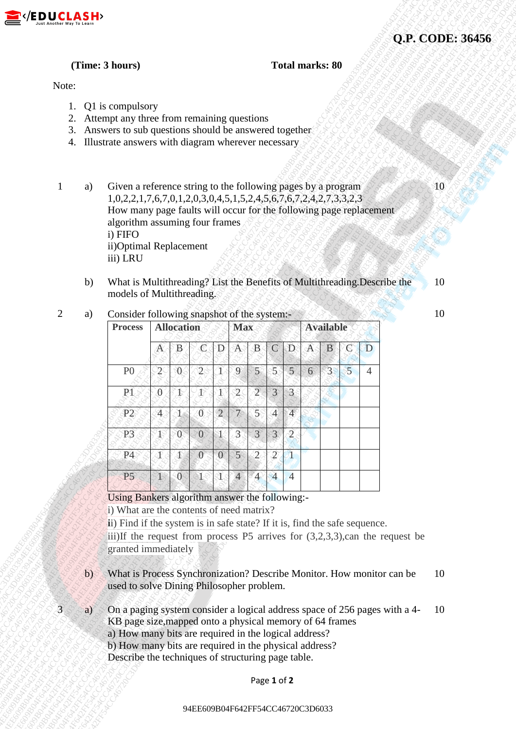

# **(Time: 3 hours) Total marks: 80**

### Note:

- 1. Q1 is compulsory
- 2. Attempt any three from remaining questions
- 3. Answers to sub questions should be answered together
- 4. Illustrate answers with diagram wherever necessary
- 1 a) Given a reference string to the following pages by a program 1,0,2,2,1,7,6,7,0,1,2,0,3,0,4,5,1,5,2,4,5,6,7,6,7,2,4,2,7,3,3,2,3 How many page faults will occur for the following page replacement algorithm assuming four frames i) FIFO ii)Optimal Replacement iii) LRU
	- b) What is Multithreading? List the Benefits of Multithreading.Describe the models of Multithreading.

2 a) Consider following snapshot of the system:-

| DUCLASH>       |              |                                                                                                                                                                                                                                                                                                                 |                                                                                                    |               |                     |                |                |                 |                               |                        |             |                |                     |                |                                                                                 | Q.P. CODE: 36456 |  |
|----------------|--------------|-----------------------------------------------------------------------------------------------------------------------------------------------------------------------------------------------------------------------------------------------------------------------------------------------------------------|----------------------------------------------------------------------------------------------------|---------------|---------------------|----------------|----------------|-----------------|-------------------------------|------------------------|-------------|----------------|---------------------|----------------|---------------------------------------------------------------------------------|------------------|--|
|                |              | (Time: 3 hours)                                                                                                                                                                                                                                                                                                 |                                                                                                    |               |                     |                |                |                 |                               | <b>Total marks: 80</b> |             |                |                     |                |                                                                                 |                  |  |
| Note:          |              |                                                                                                                                                                                                                                                                                                                 |                                                                                                    |               |                     |                |                |                 |                               |                        |             |                |                     |                |                                                                                 |                  |  |
| 2.<br>3.<br>4. |              | Q1 is compulsory<br>Attempt any three from remaining questions<br>Answers to sub questions should be answered together<br>Illustrate answers with diagram wherever necessary                                                                                                                                    |                                                                                                    |               |                     |                |                |                 |                               |                        |             |                |                     |                |                                                                                 |                  |  |
|                | a)           | Given a reference string to the following pages by a program<br>$1,0,2,2,1,7,6,7,0,1,2,0,3,0,4,5,1,5,2,4,5,6,7,6,7,2,4,2,7,3,3,2,3$<br>How many page faults will occur for the following page replacement<br>algorithm assuming four frames<br>i) FIFO<br>ii)Optimal Replacement<br>iii) LRU                    |                                                                                                    |               |                     |                |                |                 |                               |                        | $\rm{10}$   |                |                     |                |                                                                                 |                  |  |
|                | b)           | What is Multithreading? List the Benefits of Multithreading. Describe the<br>models of Multithreading.                                                                                                                                                                                                          |                                                                                                    |               |                     |                |                |                 |                               |                        |             |                |                     |                |                                                                                 | 10               |  |
| $\overline{2}$ | a)           | <b>Process</b>                                                                                                                                                                                                                                                                                                  | Consider following snapshot of the system:-<br><b>Available</b><br><b>Allocation</b><br><b>Max</b> |               |                     |                |                |                 |                               |                        |             |                | 10                  |                |                                                                                 |                  |  |
|                |              |                                                                                                                                                                                                                                                                                                                 | A                                                                                                  | Β             | $\mathbb C$         | D              | $\mathcal{A}$  | $\mathbf B$     | $\mathbb{C}% ^{d}[z,\bar{z}]$ | $\mathbb{D}$           | $\mathbb A$ | $\mathbf{B}$   | $\mathcal{C}% _{0}$ | D              |                                                                                 |                  |  |
|                |              | P <sub>0</sub>                                                                                                                                                                                                                                                                                                  | $\widetilde{2}$                                                                                    | $\mathcal{O}$ | $\overline{2}$      |                | 9              | 5 <sup>1</sup>  | 5                             | $\overline{5}$         | $6^{\circ}$ | 3 <sup>°</sup> | $\overline{5}$      | $\overline{4}$ |                                                                                 |                  |  |
|                |              | PT                                                                                                                                                                                                                                                                                                              | $\theta$                                                                                           |               | Æ                   |                | $\mathfrak{2}$ | $\overline{2}$  | $\overline{3}$                | $\overline{3}$         |             |                |                     |                |                                                                                 |                  |  |
|                |              | P2                                                                                                                                                                                                                                                                                                              | $\mathbf{A}_0$                                                                                     | Œ             | $\langle 0 \rangle$ | $\overline{2}$ |                | $\overline{5}$  | 4                             | $\overline{4}$         |             |                |                     |                |                                                                                 |                  |  |
|                |              | P <sub>3</sub>                                                                                                                                                                                                                                                                                                  | $4^{\circ}$                                                                                        | $\theta$      | $\overline{0}$      |                | 3              | $\mathcal{S}$   | 3                             | $\overline{2}$         |             |                |                     |                |                                                                                 |                  |  |
|                |              | <b>P4</b>                                                                                                                                                                                                                                                                                                       | ी                                                                                                  | Þ             | $\overline{0}$      | $\theta$       | $\overline{5}$ | $\widetilde{2}$ | $\overline{2}$                |                        |             |                |                     |                |                                                                                 |                  |  |
|                |              | P <sub>5</sub>                                                                                                                                                                                                                                                                                                  |                                                                                                    | $\mathbf{0}$  | S.                  |                | $\overline{4}$ | $\overline{4}$  | $\overline{4}$                | $\overline{4}$         |             |                |                     |                |                                                                                 |                  |  |
|                |              | Using Bankers algorithm answer the following:-<br>i) What are the contents of need matrix?<br>ii) Find if the system is in safe state? If it is, find the safe sequence.<br>granted immediately                                                                                                                 |                                                                                                    |               |                     |                |                |                 |                               |                        |             |                |                     |                | iii)If the request from process P5 arrives for $(3,2,3,3)$ , can the request be |                  |  |
|                | $\mathbf{b}$ | What is Process Synchronization? Describe Monitor. How monitor can be<br>used to solve Dining Philosopher problem.                                                                                                                                                                                              |                                                                                                    |               |                     |                |                |                 |                               |                        |             |                |                     |                |                                                                                 | 10               |  |
| $\overline{3}$ | a)           | On a paging system consider a logical address space of 256 pages with a 4-<br>KB page size, mapped onto a physical memory of 64 frames<br>a) How many bits are required in the logical address?<br>b) How many bits are required in the physical address?<br>Describe the techniques of structuring page table. |                                                                                                    |               |                     |                |                |                 |                               | <b>10</b>              |             |                |                     |                |                                                                                 |                  |  |
|                |              |                                                                                                                                                                                                                                                                                                                 |                                                                                                    |               |                     |                |                |                 | Page 1 of 2                   |                        |             |                |                     |                |                                                                                 |                  |  |
|                |              |                                                                                                                                                                                                                                                                                                                 |                                                                                                    |               |                     |                |                |                 |                               |                        |             |                |                     |                |                                                                                 |                  |  |

- b) What is Process Synchronization? Describe Monitor. How monitor can be used to solve Dining Philosopher problem. 10
- 3 a) On a paging system consider a logical address space of 256 pages with a 4-KB page size,mapped onto a physical memory of 64 frames a) How many bits are required in the logical address? b) How many bits are required in the physical address? Describe the techniques of structuring page table. 10

## Page **1** of **2**

#### 94EE609B04F642FF54CC46720C3D6033